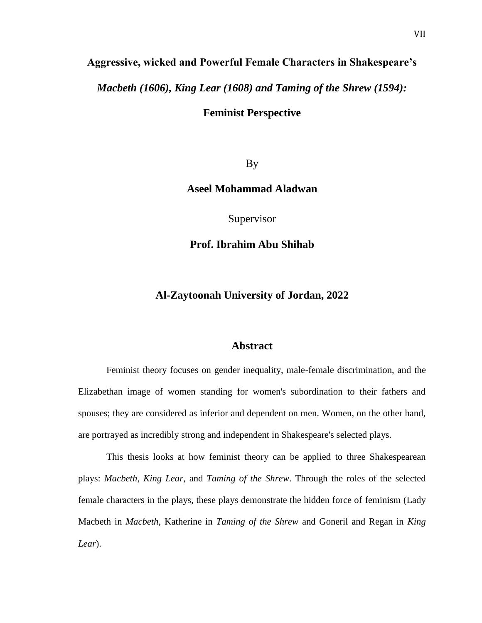# **Aggressive, wicked and Powerful Female Characters in Shakespeare's**

*Macbeth (1606), King Lear (1608) and Taming of the Shrew (1594):* 

**Feminist Perspective**

By

### **Aseel Mohammad Aladwan**

Supervisor

## **Prof. Ibrahim Abu Shihab**

## **Al-Zaytoonah University of Jordan, 2022**

#### **Abstract**

Feminist theory focuses on gender inequality, male-female discrimination, and the Elizabethan image of women standing for women's subordination to their fathers and spouses; they are considered as inferior and dependent on men. Women, on the other hand, are portrayed as incredibly strong and independent in Shakespeare's selected plays.

This thesis looks at how feminist theory can be applied to three Shakespearean plays: *Macbeth*, *King Lear*, and *Taming of the Shrew*. Through the roles of the selected female characters in the plays, these plays demonstrate the hidden force of feminism (Lady Macbeth in *Macbeth*, Katherine in *Taming of the Shrew* and Goneril and Regan in *King Lear*).